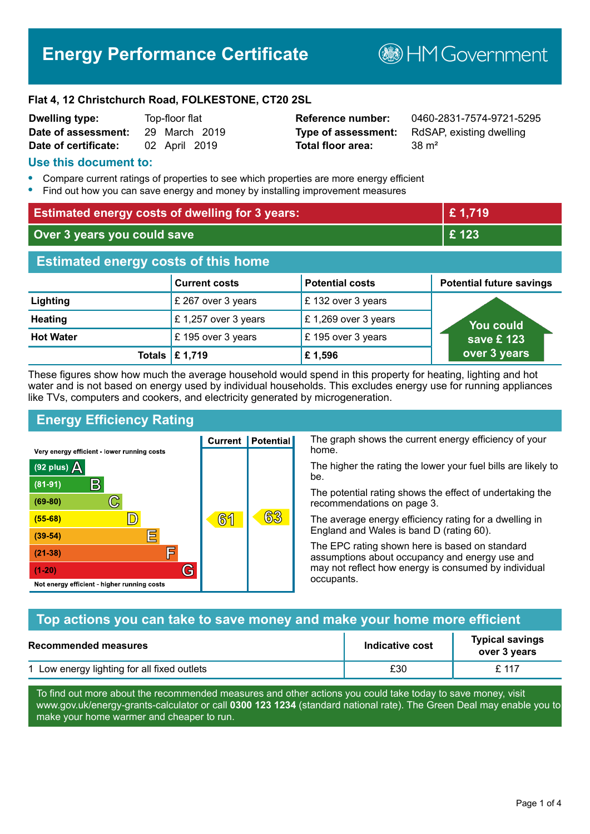# **Energy Performance Certificate**

**B**HMGovernment

#### **Flat 4, 12 Christchurch Road, FOLKESTONE, CT20 2SL**

| <b>Dwelling type:</b> | Top-floor flat |               |  |
|-----------------------|----------------|---------------|--|
| Date of assessment:   |                | 29 March 2019 |  |
| Date of certificate:  |                | 02 April 2019 |  |

# **Total floor area:** 38 m<sup>2</sup>

**Reference number:** 0460-2831-7574-9721-5295 **Type of assessment:** RdSAP, existing dwelling

#### **Use this document to:**

- **•** Compare current ratings of properties to see which properties are more energy efficient
- **•** Find out how you can save energy and money by installing improvement measures

| <b>Estimated energy costs of dwelling for 3 years:</b> |                      | £1,719                 |                                 |
|--------------------------------------------------------|----------------------|------------------------|---------------------------------|
| Over 3 years you could save                            |                      | £123                   |                                 |
| <b>Estimated energy costs of this home</b>             |                      |                        |                                 |
|                                                        | <b>Current costs</b> | <b>Potential costs</b> | <b>Potential future savings</b> |
| Lighting                                               | £ 267 over 3 years   | £132 over 3 years      |                                 |
| <b>Heating</b>                                         | £1,257 over 3 years  | £1,269 over 3 years    | <b>You could</b>                |
| <b>Hot Water</b>                                       | £195 over 3 years    | £195 over 3 years      | save £ 123                      |
| Totals                                                 | £ 1,719              | £1,596                 | over 3 years                    |

These figures show how much the average household would spend in this property for heating, lighting and hot water and is not based on energy used by individual households. This excludes energy use for running appliances like TVs, computers and cookers, and electricity generated by microgeneration.

**Current | Potential** 

**61** 

# **Energy Efficiency Rating**

 $\mathbb{C}$ 

 $\mathbb{D}$ 

E

庐

G

Very energy efficient - lower running costs

R

Not energy efficient - higher running costs

(92 plus)  $\Delta$ 

 $(81 - 91)$ 

 $(69 - 80)$ 

 $(55-68)$ 

 $(39 - 54)$ 

 $(21-38)$ 

 $(1-20)$ 

The graph shows the current energy efficiency of your home.

The higher the rating the lower your fuel bills are likely to be.

The potential rating shows the effect of undertaking the recommendations on page 3.

The average energy efficiency rating for a dwelling in England and Wales is band D (rating 60).

The EPC rating shown here is based on standard assumptions about occupancy and energy use and may not reflect how energy is consumed by individual occupants.

# **Top actions you can take to save money and make your home more efficient**

63

| <b>Recommended measures</b>                 | Indicative cost | <b>Typical savings</b><br>over 3 years |
|---------------------------------------------|-----------------|----------------------------------------|
| 1 Low energy lighting for all fixed outlets | £30             | £ 117                                  |

To find out more about the recommended measures and other actions you could take today to save money, visit www.gov.uk/energy-grants-calculator or call **0300 123 1234** (standard national rate). The Green Deal may enable you to make your home warmer and cheaper to run.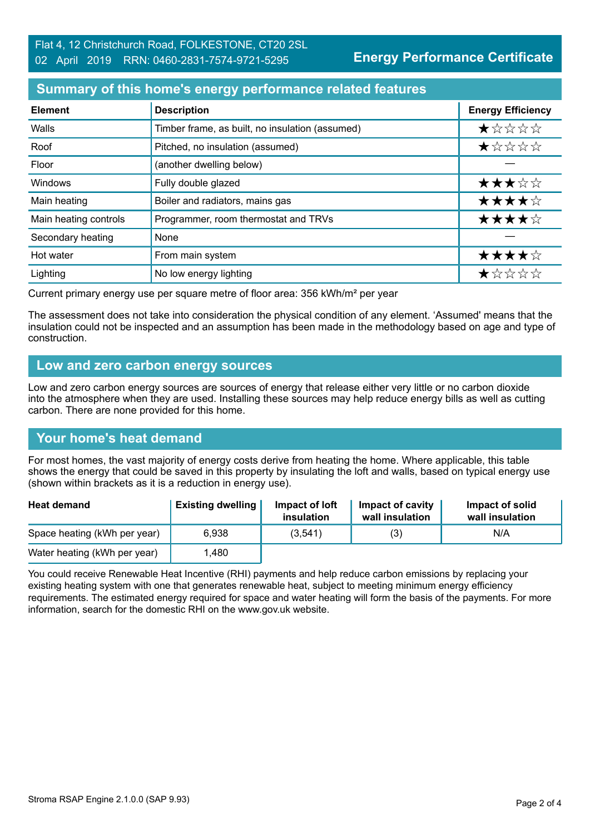**Energy Performance Certificate**

#### **Summary of this home's energy performance related features**

| <b>Element</b>        | <b>Description</b>                              | <b>Energy Efficiency</b> |
|-----------------------|-------------------------------------------------|--------------------------|
| Walls                 | Timber frame, as built, no insulation (assumed) | $\star$ * * * *          |
| Roof                  | Pitched, no insulation (assumed)                | *****                    |
| Floor                 | (another dwelling below)                        |                          |
| Windows               | Fully double glazed                             | ★★★☆☆                    |
| Main heating          | Boiler and radiators, mains gas                 | ★★★★☆                    |
| Main heating controls | Programmer, room thermostat and TRVs            | ★★★★☆                    |
| Secondary heating     | None                                            |                          |
| Hot water             | From main system                                | ★★★★☆                    |
| Lighting              | No low energy lighting                          | ★☆☆☆☆                    |

Current primary energy use per square metre of floor area: 356 kWh/m² per year

The assessment does not take into consideration the physical condition of any element. 'Assumed' means that the insulation could not be inspected and an assumption has been made in the methodology based on age and type of construction.

#### **Low and zero carbon energy sources**

Low and zero carbon energy sources are sources of energy that release either very little or no carbon dioxide into the atmosphere when they are used. Installing these sources may help reduce energy bills as well as cutting carbon. There are none provided for this home.

# **Your home's heat demand**

For most homes, the vast majority of energy costs derive from heating the home. Where applicable, this table shows the energy that could be saved in this property by insulating the loft and walls, based on typical energy use (shown within brackets as it is a reduction in energy use).

| <b>Heat demand</b>           | <b>Existing dwelling</b> | Impact of loft<br>insulation | Impact of cavity<br>wall insulation | Impact of solid<br>wall insulation |
|------------------------------|--------------------------|------------------------------|-------------------------------------|------------------------------------|
| Space heating (kWh per year) | 6.938                    | (3,541)                      | (3)                                 | N/A                                |
| Water heating (kWh per year) | .480                     |                              |                                     |                                    |

You could receive Renewable Heat Incentive (RHI) payments and help reduce carbon emissions by replacing your existing heating system with one that generates renewable heat, subject to meeting minimum energy efficiency requirements. The estimated energy required for space and water heating will form the basis of the payments. For more information, search for the domestic RHI on the www.gov.uk website.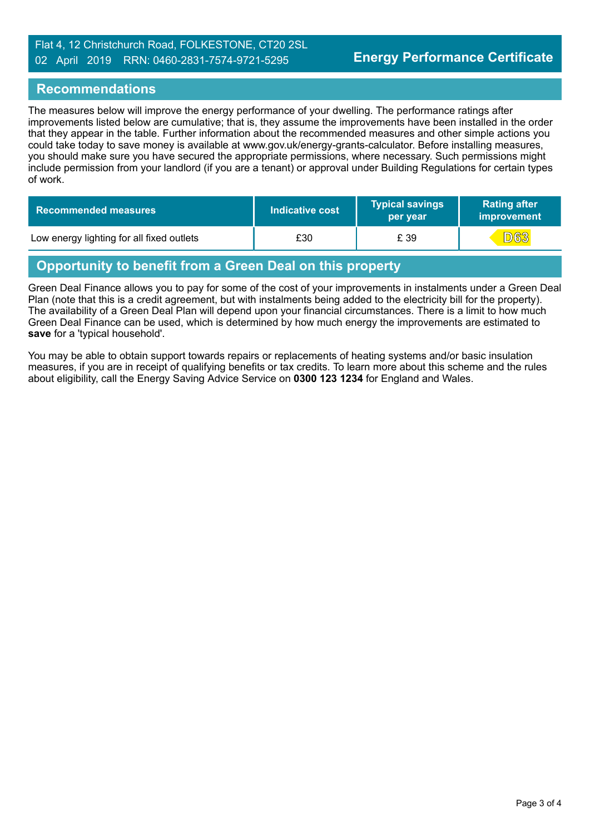#### Flat 4, 12 Christchurch Road, FOLKESTONE, CT20 2SL 02 April 2019 RRN: 0460-2831-7574-9721-5295

#### **Recommendations**

The measures below will improve the energy performance of your dwelling. The performance ratings after improvements listed below are cumulative; that is, they assume the improvements have been installed in the order that they appear in the table. Further information about the recommended measures and other simple actions you could take today to save money is available at www.gov.uk/energy-grants-calculator. Before installing measures, you should make sure you have secured the appropriate permissions, where necessary. Such permissions might include permission from your landlord (if you are a tenant) or approval under Building Regulations for certain types of work.

| <b>Recommended measures</b>               | Indicative cost | <b>Typical savings</b><br>per year | <b>Rating after</b><br>improvement |
|-------------------------------------------|-----------------|------------------------------------|------------------------------------|
| Low energy lighting for all fixed outlets | £30             | £ 39                               | <b>D63</b>                         |

# **Opportunity to benefit from a Green Deal on this property**

Green Deal Finance allows you to pay for some of the cost of your improvements in instalments under a Green Deal Plan (note that this is a credit agreement, but with instalments being added to the electricity bill for the property). The availability of a Green Deal Plan will depend upon your financial circumstances. There is a limit to how much Green Deal Finance can be used, which is determined by how much energy the improvements are estimated to **save** for a 'typical household'.

You may be able to obtain support towards repairs or replacements of heating systems and/or basic insulation measures, if you are in receipt of qualifying benefits or tax credits. To learn more about this scheme and the rules about eligibility, call the Energy Saving Advice Service on **0300 123 1234** for England and Wales.